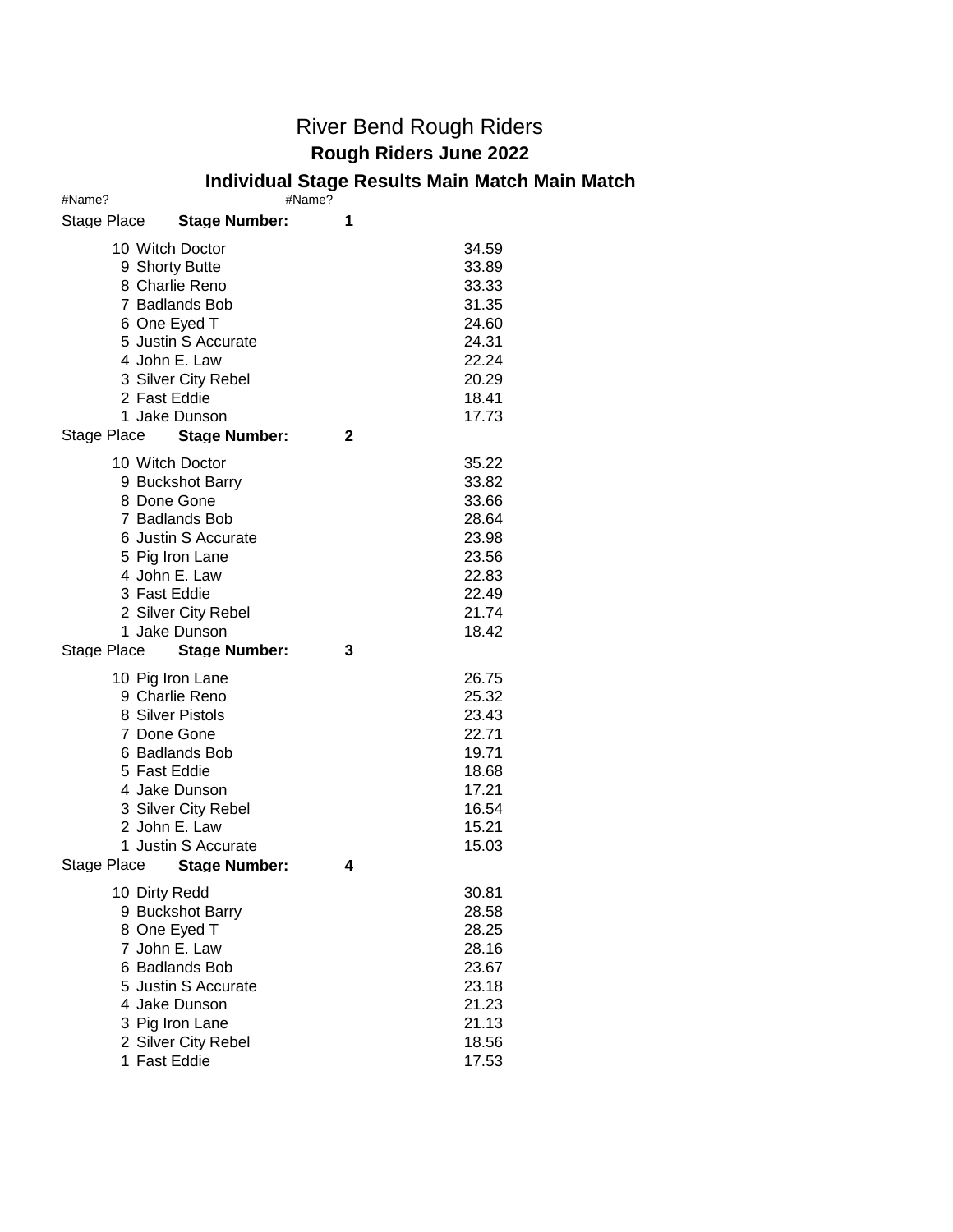## River Bend Rough Riders **Rough Riders June 2022**

## **Individual Stage Results Main Match Main Match**

| #Name?        |                                                                                                                                                                                                      | #Name? |                                                                                        |
|---------------|------------------------------------------------------------------------------------------------------------------------------------------------------------------------------------------------------|--------|----------------------------------------------------------------------------------------|
| Stage Place   | <b>Stage Number:</b>                                                                                                                                                                                 | 1      |                                                                                        |
| 2 Fast Eddie  | 10 Witch Doctor<br>9 Shorty Butte<br>8 Charlie Reno<br>7 Badlands Bob<br>6 One Eyed T<br>5 Justin S Accurate<br>4 John E. Law<br>3 Silver City Rebel<br>1 Jake Dunson<br>Stage Place Stage Number:   | 2      | 34.59<br>33.89<br>33.33<br>31.35<br>24.60<br>24.31<br>22.24<br>20.29<br>18.41<br>17.73 |
| 3 Fast Eddie  | 10 Witch Doctor<br>9 Buckshot Barry<br>8 Done Gone<br>7 Badlands Bob<br>6 Justin S Accurate<br>5 Pig Iron Lane<br>4 John E. Law<br>2 Silver City Rebel<br>1 Jake Dunson                              |        | 35.22<br>33.82<br>33.66<br>28.64<br>23.98<br>23.56<br>22.83<br>22.49<br>21.74<br>18.42 |
| Stage Place   | <b>Stage Number:</b>                                                                                                                                                                                 | 3      |                                                                                        |
| 5 Fast Eddie  | 10 Pig Iron Lane<br>9 Charlie Reno<br>8 Silver Pistols<br>7 Done Gone<br>6 Badlands Bob<br>4 Jake Dunson<br>3 Silver City Rebel<br>2 John E. Law<br>1 Justin S Accurate<br>Stage Place Stage Number: | 4      | 26.75<br>25.32<br>23.43<br>22.71<br>19.71<br>18.68<br>17.21<br>16.54<br>15.21<br>15.03 |
| 10 Dirty Redd |                                                                                                                                                                                                      |        | 30.81                                                                                  |
|               | 9 Buckshot Barry<br>8 One Eyed T<br>7 John E. Law<br>6 Badlands Bob<br>5 Justin S Accurate<br>4 Jake Dunson<br>3 Pig Iron Lane<br>2 Silver City Rebel<br>1 Fast Eddie                                |        | 28.58<br>28.25<br>28.16<br>23.67<br>23.18<br>21.23<br>21.13<br>18.56<br>17.53          |